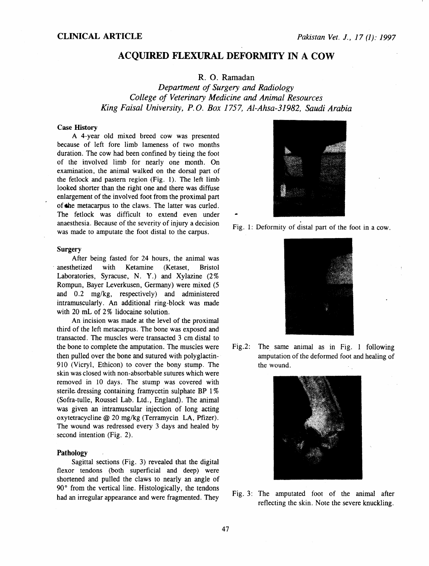# ACQUIRED FLEXURAL DEFORMITY IN A COW

R. 0. Ramadan

*Department of Surgery and Radiology College of Veterinary Medicine and Animal Resources King Faisal University, P. 0. Box 1757, Al-Ahsa-31982, Saudi Arabia* 

## **Case History**

A 4-year old mixed breed cow was presented because of left fore limb lameness of two months duration. The cow had been confined by tieing the foot of the involved limb for nearly one month. On examination, the animal walked on the dorsal part of the fetlock and pastern region (Fig. 1). The left limb looked shorter than the right one and there was diffuse enlargement of the involved foot from the proximal part of the metacarpus to the claws. The latter was curled. The fetlock was difficult to extend even under anaesthesia. Because of the severity of injury a decision was made to amputate the foot distal to the carpus.

#### **Surgery**

After being fasted for 24 hours, the animal was anesthetized with Ketamine (Ketaset, Bristol Laboratories, Syracuse, N. Y.) and Xylazine (2% Rompun, Bayer Leverkusen, Germany) were mixed (5 and 0.2 mg/kg, respectively) and administered intramuscularly. An additional ring-block was made with 20 mL of 2% lidocaine solution.

An incision was made at the level of the proximal third of the left metacarpus. The bone was exposed and transacted. The muscles were transacted 3 em distal to the bone to complete the amputation. The muscles were then pulled over the bone and sutured with polyglactin-910 (Vicryl, Ethicon) to cover the bony stump. The skin was closed with non-absorbable sutures which were removed in 10 days. The stump was covered with sterile dressing containing framycetin sulphate BP 1 % (Sofra-tulle, Roussel Lab. Ltd., England). The animal was given an intramuscular injection of long acting oxytetracycline@ 20 mg/kg (Terramycin LA, Pfizer). The wound was redressed every 3 days and healed by second intention (Fig. 2).

#### Pathology

Sagittal sections (Fig. 3) revealed that the digital flexor tendons (both superficial and deep) were shortened and pulled the claws to nearly an angle of 90° from the vertical line. Histologically, the tendons had an irregular appearance and were fragmented. They



Fig. 1: Deformity of distal part of the foot in a cow.



Fig.2: The same animal as in Fig. 1 following amputation of the deformed foot and healing of the wound.



Fig. 3: The amputated foot of the animal after reflecting the skin. Note the severe knuckling.